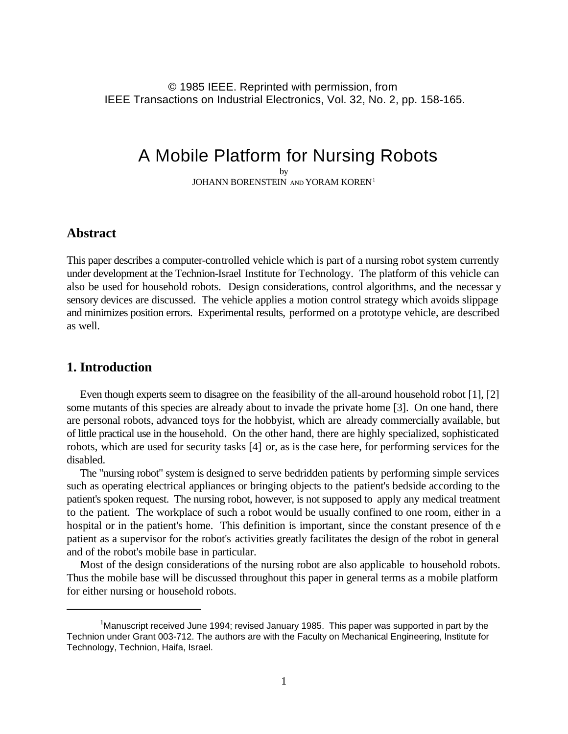© 1985 IEEE. Reprinted with permission, from IEEE Transactions on Industrial Electronics, Vol. 32, No. 2, pp. 158-165.

# A Mobile Platform for Nursing Robots

by JOHANN BORENSTEIN AND YORAM KOREN<sup>1</sup>

# **Abstract**

This paper describes a computer-controlled vehicle which is part of a nursing robot system currently under development at the Technion-Israel Institute for Technology. The platform of this vehicle can also be used for household robots. Design considerations, control algorithms, and the necessar y sensory devices are discussed. The vehicle applies a motion control strategy which avoids slippage and minimizes position errors. Experimental results, performed on a prototype vehicle, are described as well.

# **1. Introduction**

Even though experts seem to disagree on the feasibility of the all-around household robot [1], [2] some mutants of this species are already about to invade the private home [3]. On one hand, there are personal robots, advanced toys for the hobbyist, which are already commercially available, but of little practical use in the household. On the other hand, there are highly specialized, sophisticated robots, which are used for security tasks [4] or, as is the case here, for performing services for the disabled.

The "nursing robot" system is designed to serve bedridden patients by performing simple services such as operating electrical appliances or bringing objects to the patient's bedside according to the patient's spoken request. The nursing robot, however, is not supposed to apply any medical treatment to the patient. The workplace of such a robot would be usually confined to one room, either in a hospital or in the patient's home. This definition is important, since the constant presence of th e patient as a supervisor for the robot's activities greatly facilitates the design of the robot in general and of the robot's mobile base in particular.

Most of the design considerations of the nursing robot are also applicable to household robots. Thus the mobile base will be discussed throughout this paper in general terms as a mobile platform for either nursing or household robots.

<sup>&</sup>lt;sup>1</sup> Manuscript received June 1994; revised January 1985. This paper was supported in part by the Technion under Grant 003-712. The authors are with the Faculty on Mechanical Engineering, Institute for Technology, Technion, Haifa, Israel.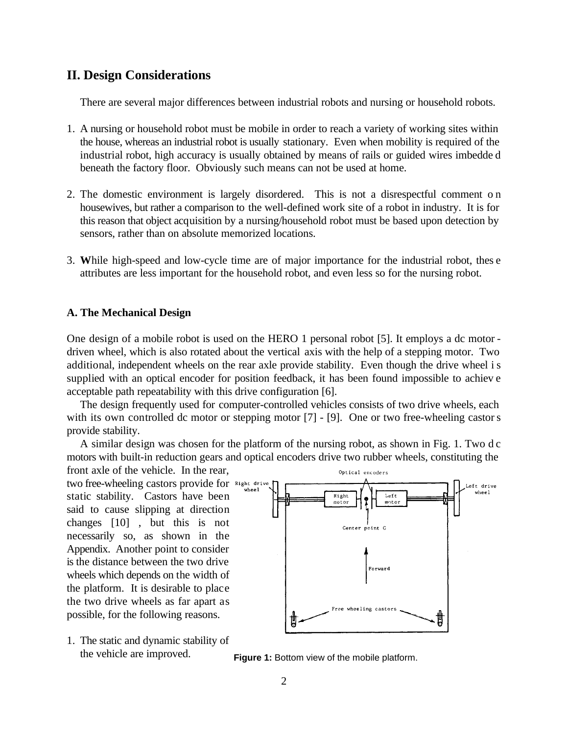# **II. Design Considerations**

There are several major differences between industrial robots and nursing or household robots.

- 1. A nursing or household robot must be mobile in order to reach a variety of working sites within the house, whereas an industrial robot is usually stationary. Even when mobility is required of the industrial robot, high accuracy is usually obtained by means of rails or guided wires imbedde d beneath the factory floor. Obviously such means can not be used at home.
- 2. The domestic environment is largely disordered. This is not a disrespectful comment o n housewives, but rather a comparison to the well-defined work site of a robot in industry. It is for this reason that object acquisition by a nursing/household robot must be based upon detection by sensors, rather than on absolute memorized locations.
- 3. **W**hile high-speed and low-cycle time are of major importance for the industrial robot, thes e attributes are less important for the household robot, and even less so for the nursing robot.

#### **A. The Mechanical Design**

One design of a mobile robot is used on the HERO 1 personal robot [5]. It employs a dc motor driven wheel, which is also rotated about the vertical axis with the help of a stepping motor. Two additional, independent wheels on the rear axle provide stability. Even though the drive wheel is supplied with an optical encoder for position feedback, it has been found impossible to achiev e acceptable path repeatability with this drive configuration [6].

The design frequently used for computer-controlled vehicles consists of two drive wheels, each with its own controlled dc motor or stepping motor [7] - [9]. One or two free-wheeling castors provide stability.

A similar design was chosen for the platform of the nursing robot, as shown in Fig. 1. Two d c motors with built-in reduction gears and optical encoders drive two rubber wheels, constituting the front axle of the vehicle. In the rear,

two free-wheeling castors provide for Right drive static stability. Castors have been said to cause slipping at direction changes [10] , but this is not necessarily so, as shown in the Appendix. Another point to consider is the distance between the two drive wheels which depends on the width of the platform. It is desirable to place the two drive wheels as far apart as possible, for the following reasons.

1. The static and dynamic stability of the vehicle are improved.



**Figure 1:** Bottom view of the mobile platform.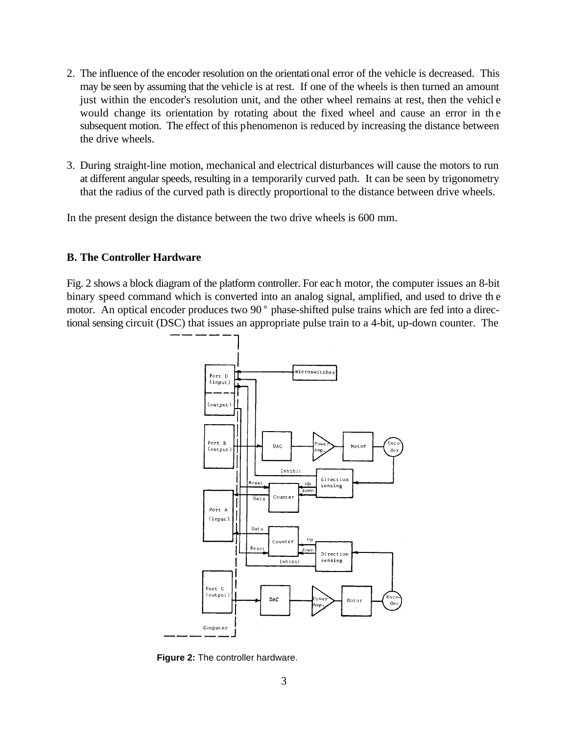- 2. The influence of the encoder resolution on the orientational error of the vehicle is decreased. This may be seen by assuming that the vehicle is at rest. If one of the wheels is then turned an amount just within the encoder's resolution unit, and the other wheel remains at rest, then the vehicl e would change its orientation by rotating about the fixed wheel and cause an error in th e subsequent motion. The effect of this phenomenon is reduced by increasing the distance between the drive wheels.
- 3. During straight-line motion, mechanical and electrical disturbances will cause the motors to run at different angular speeds, resulting in a temporarily curved path. It can be seen by trigonometry that the radius of the curved path is directly proportional to the distance between drive wheels.

In the present design the distance between the two drive wheels is 600 mm.

#### **B. The Controller Hardware**

Fig. 2 shows a block diagram of the platform controller. For each motor, the computer issues an 8-bit binary speed command which is converted into an analog signal, amplified, and used to drive th e motor. An optical encoder produces two 90° phase-shifted pulse trains which are fed into a directional sensing circuit (DSC) that issues an appropriate pulse train to a 4-bit, up-down counter. The



**Figure 2:** The controller hardware.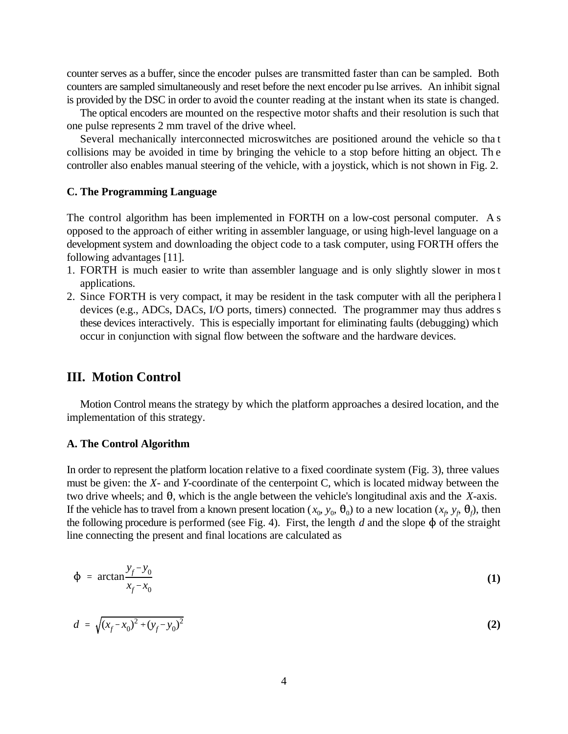counter serves as a buffer, since the encoder pulses are transmitted faster than can be sampled. Both counters are sampled simultaneously and reset before the next encoder pu lse arrives. An inhibit signal is provided by the DSC in order to avoid the counter reading at the instant when its state is changed.

The optical encoders are mounted on the respective motor shafts and their resolution is such that one pulse represents 2 mm travel of the drive wheel.

Several mechanically interconnected microswitches are positioned around the vehicle so tha t collisions may be avoided in time by bringing the vehicle to a stop before hitting an object. Th e controller also enables manual steering of the vehicle, with a joystick, which is not shown in Fig. 2.

#### **C. The Programming Language**

The control algorithm has been implemented in FORTH on a low-cost personal computer. A s opposed to the approach of either writing in assembler language, or using high-level language on a development system and downloading the object code to a task computer, using FORTH offers the following advantages [11].

- 1. FORTH is much easier to write than assembler language and is only slightly slower in most applications.
- 2. Since FORTH is very compact, it may be resident in the task computer with all the periphera l devices (e.g., ADCs, DACs, I/O ports, timers) connected. The programmer may thus addres s these devices interactively. This is especially important for eliminating faults (debugging) which occur in conjunction with signal flow between the software and the hardware devices.

### **III. Motion Control**

Motion Control means the strategy by which the platform approaches a desired location, and the implementation of this strategy.

#### **A. The Control Algorithm**

In order to represent the platform location relative to a fixed coordinate system (Fig. 3), three values must be given: the *X-* and *Y*-coordinate of the centerpoint C, which is located midway between the two drive wheels; and  $\theta$ , which is the angle between the vehicle's longitudinal axis and the *X*-axis. If the vehicle has to travel from a known present location  $(x_0, y_0, \theta_0)$  to a new location  $(x_f, y_f, \theta_f)$ , then the following procedure is performed (see Fig. 4). First, the length  $d$  and the slope  $\phi$  of the straight line connecting the present and final locations are calculated as

$$
\Phi = \arctan \frac{y_f - y_0}{x_f - x_0} \tag{1}
$$

$$
d = \sqrt{(x_f - x_0)^2 + (y_f - y_0)^2}
$$
 (2)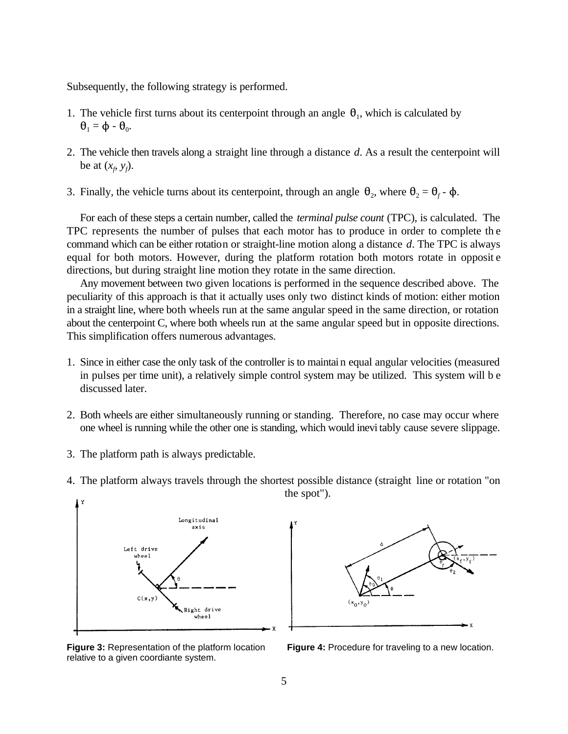Subsequently, the following strategy is performed.

- 1. The vehicle first turns about its centerpoint through an angle  $\theta_1$ , which is calculated by  $\theta_1 = \Phi - \theta_0$ .
- 2. The vehicle then travels along a straight line through a distance *d*. As a result the centerpoint will be at  $(x_{\theta}, y_{\theta})$ .
- 3. Finally, the vehicle turns about its centerpoint, through an angle  $\theta_2$ , where  $\theta_2 = \theta_f \phi$ .

For each of these steps a certain number, called the *terminal pulse count* (TPC), is calculated. The TPC represents the number of pulses that each motor has to produce in order to complete th e command which can be either rotation or straight-line motion along a distance *d*. The TPC is always equal for both motors. However, during the platform rotation both motors rotate in opposit e directions, but during straight line motion they rotate in the same direction.

Any movement between two given locations is performed in the sequence described above. The peculiarity of this approach is that it actually uses only two distinct kinds of motion: either motion in a straight line, where both wheels run at the same angular speed in the same direction, or rotation about the centerpoint C, where both wheels run at the same angular speed but in opposite directions. This simplification offers numerous advantages.

- 1. Since in either case the only task of the controller is to maintain equal angular velocities (measured in pulses per time unit), a relatively simple control system may be utilized. This system will b e discussed later.
- 2. Both wheels are either simultaneously running or standing. Therefore, no case may occur where one wheel is running while the other one is standing, which would inevitably cause severe slippage.
- 3. The platform path is always predictable.





4. The platform always travels through the shortest possible distance (straight line or rotation "on the spot").

**Figure 4:** Procedure for traveling to a new location.

**Figure 3:** Representation of the platform location relative to a given coordiante system.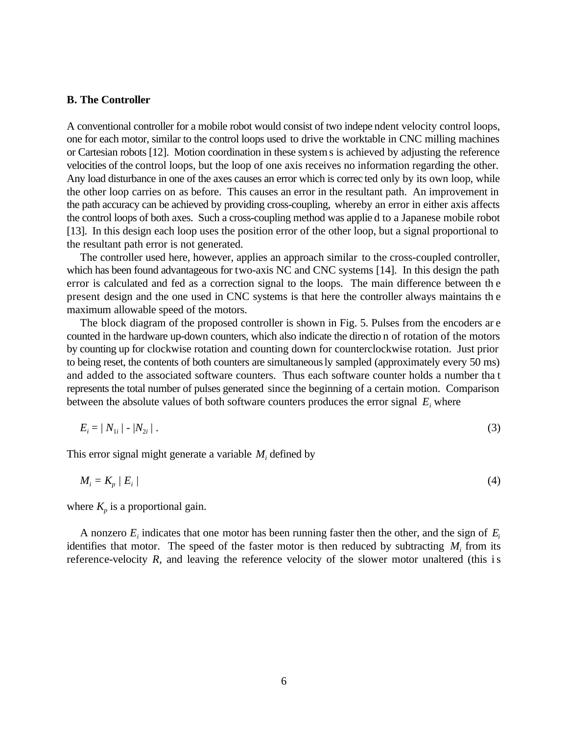#### **B. The Controller**

A conventional controller for a mobile robot would consist of two indepe ndent velocity control loops, one for each motor, similar to the control loops used to drive the worktable in CNC milling machines or Cartesian robots [12]. Motion coordination in these systems is achieved by adjusting the reference velocities of the control loops, but the loop of one axis receives no information regarding the other. Any load disturbance in one of the axes causes an error which is correc ted only by its own loop, while the other loop carries on as before. This causes an error in the resultant path. An improvement in the path accuracy can be achieved by providing cross-coupling, whereby an error in either axis affects the control loops of both axes. Such a cross-coupling method was applie d to a Japanese mobile robot [13]. In this design each loop uses the position error of the other loop, but a signal proportional to the resultant path error is not generated.

The controller used here, however, applies an approach similar to the cross-coupled controller, which has been found advantageous for two-axis NC and CNC systems [14]. In this design the path error is calculated and fed as a correction signal to the loops. The main difference between th e present design and the one used in CNC systems is that here the controller always maintains th e maximum allowable speed of the motors.

The block diagram of the proposed controller is shown in Fig. 5. Pulses from the encoders ar e counted in the hardware up-down counters, which also indicate the directio n of rotation of the motors by counting up for clockwise rotation and counting down for counterclockwise rotation. Just prior to being reset, the contents of both counters are simultaneously sampled (approximately every 50 ms) and added to the associated software counters. Thus each software counter holds a number tha t represents the total number of pulses generated since the beginning of a certain motion. Comparison between the absolute values of both software counters produces the error signal  $E_i$  where

$$
E_i = |N_{1i}| - |N_{2i}| \tag{3}
$$

This error signal might generate a variable  $M_i$  defined by

$$
M_i = K_p / E_i / (4)
$$

where  $K_p$  is a proportional gain.

A nonzero  $E_i$  indicates that one motor has been running faster then the other, and the sign of  $E_i$ identifies that motor. The speed of the faster motor is then reduced by subtracting  $M_i$  from its reference-velocity *R*, and leaving the reference velocity of the slower motor unaltered (this is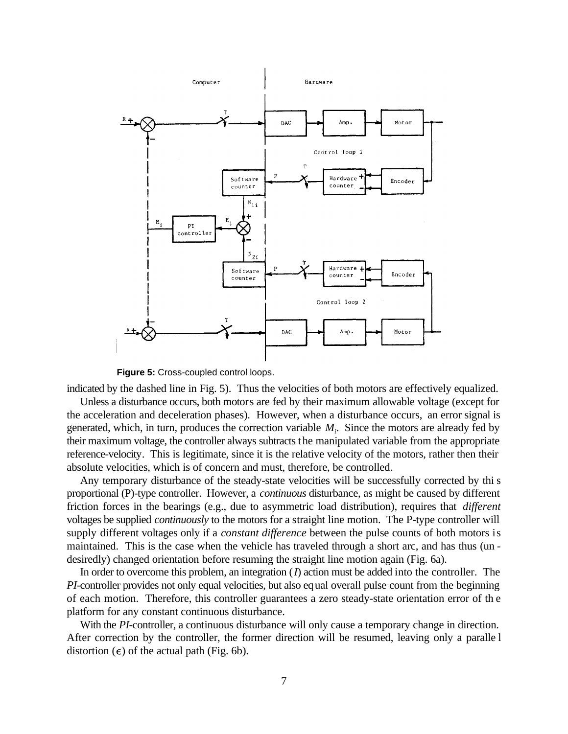

**Figure 5:** Cross-coupled control loops.

indicated by the dashed line in Fig. 5). Thus the velocities of both motors are effectively equalized. Unless a disturbance occurs, both motors are fed by their maximum allowable voltage (except for the acceleration and deceleration phases). However, when a disturbance occurs, an error signal is generated, which, in turn, produces the correction variable *M<sup>i</sup>* . Since the motors are already fed by their maximum voltage, the controller always subtracts the manipulated variable from the appropriate reference-velocity. This is legitimate, since it is the relative velocity of the motors, rather then their absolute velocities, which is of concern and must, therefore, be controlled.

Any temporary disturbance of the steady-state velocities will be successfully corrected by thi s proportional (P)-type controller. However, a *continuous* disturbance, as might be caused by different friction forces in the bearings (e.g., due to asymmetric load distribution), requires that *different* voltages be supplied *continuously* to the motors for a straight line motion. The P-type controller will supply different voltages only if a *constant difference* between the pulse counts of both motors is maintained. This is the case when the vehicle has traveled through a short arc, and has thus (un desiredly) changed orientation before resuming the straight line motion again (Fig. 6a).

In order to overcome this problem, an integration (*I*) action must be added into the controller. The *PI*-controller provides not only equal velocities, but also equal overall pulse count from the beginning of each motion. Therefore, this controller guarantees a zero steady-state orientation error of th e platform for any constant continuous disturbance.

With the *PI*-controller, a continuous disturbance will only cause a temporary change in direction. After correction by the controller, the former direction will be resumed, leaving only a paralle l distortion  $(\epsilon)$  of the actual path (Fig. 6b).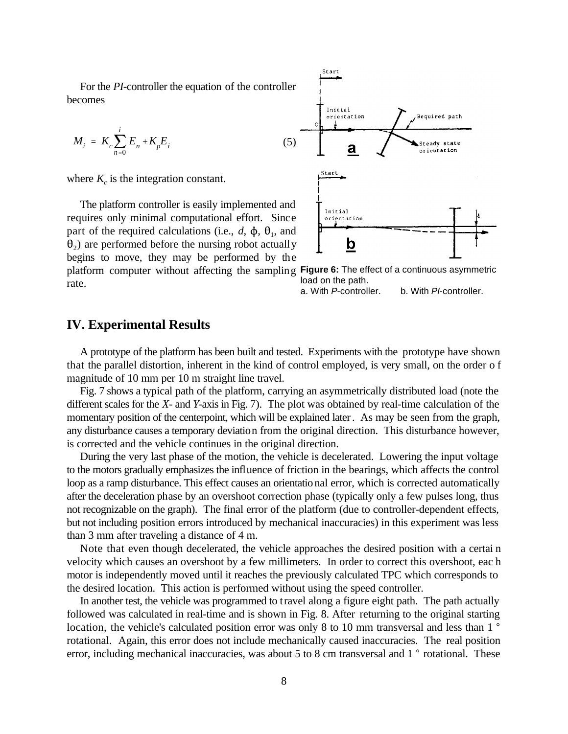For the *PI*-controller the equation of the controller becomes

$$
M_i = K_c \sum_{n=0}^{i} E_n + K_p E_i
$$

where  $K_c$  is the integration constant.

platform computer without affecting the sampling Figure 6: The effect of a continuous asymmetric The platform controller is easily implemented and requires only minimal computational effort. Since part of the required calculations (i.e.,  $d$ ,  $\phi$ ,  $\theta$ <sub>1</sub>, and  $_2$ ) are performed before the nursing robot actually begins to move, they may be performed by the rate.



load on the path.

a. With P-controller. b. With PI-controller.

# **IV. Experimental Results**

A prototype of the platform has been built and tested. Experiments with the prototype have shown that the parallel distortion, inherent in the kind of control employed, is very small, on the order o f magnitude of 10 mm per 10 m straight line travel.

Fig. 7 shows a typical path of the platform, carrying an asymmetrically distributed load (note the different scales for the *X-* and *Y*-axis in Fig. 7). The plot was obtained by real-time calculation of the momentary position of the centerpoint, which will be explained later. As may be seen from the graph, any disturbance causes a temporary deviation from the original direction. This disturbance however, is corrected and the vehicle continues in the original direction.

During the very last phase of the motion, the vehicle is decelerated. Lowering the input voltage to the motors gradually emphasizes the influence of friction in the bearings, which affects the control loop as a ramp disturbance. This effect causes an orientational error, which is corrected automatically after the deceleration phase by an overshoot correction phase (typically only a few pulses long, thus not recognizable on the graph). The final error of the platform (due to controller-dependent effects, but not including position errors introduced by mechanical inaccuracies) in this experiment was less than 3 mm after traveling a distance of 4 m.

Note that even though decelerated, the vehicle approaches the desired position with a certai n velocity which causes an overshoot by a few millimeters. In order to correct this overshoot, eac h motor is independently moved until it reaches the previously calculated TPC which corresponds to the desired location. This action is performed without using the speed controller.

In another test, the vehicle was programmed to travel along a figure eight path. The path actually followed was calculated in real-time and is shown in Fig. 8. After returning to the original starting location, the vehicle's calculated position error was only 8 to 10 mm transversal and less than 1  $\degree$ rotational. Again, this error does not include mechanically caused inaccuracies. The real position error, including mechanical inaccuracies, was about 5 to 8 cm transversal and  $1°$  rotational. These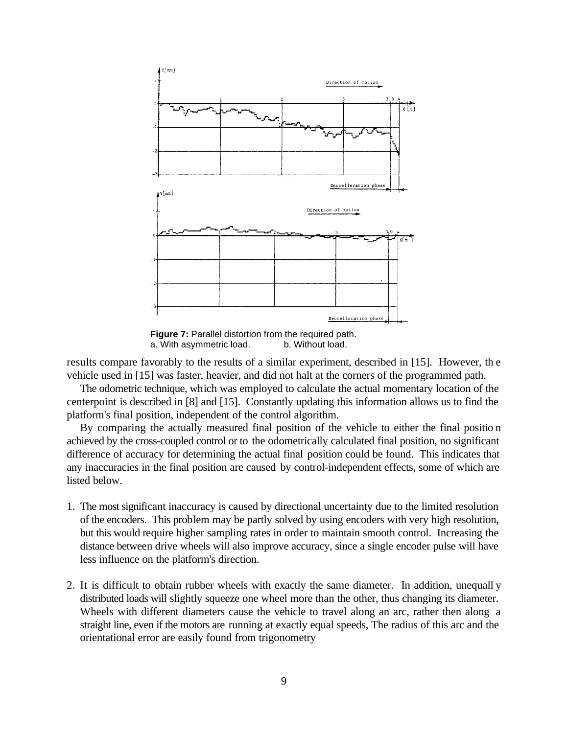

**Figure 7:** Parallel distortion from the required path. a. With asymmetric load. b. Without load.

results compare favorably to the results of a similar experiment, described in [15]. However, th e vehicle used in [15] was faster, heavier, and did not halt at the corners of the programmed path.

The odometric technique, which was employed to calculate the actual momentary location of the centerpoint is described in [8] and [15]. Constantly updating this information allows us to find the platform's final position, independent of the control algorithm.

By comparing the actually measured final position of the vehicle to either the final positio n achieved by the cross-coupled control or to the odometrically calculated final position, no significant difference of accuracy for determining the actual final position could be found. This indicates that any inaccuracies in the final position are caused by control-independent effects, some of which are listed below.

- 1. The most significant inaccuracy is caused by directional uncertainty due to the limited resolution of the encoders. This problem may be partly solved by using encoders with very high resolution, but this would require higher sampling rates in order to maintain smooth control. Increasing the distance between drive wheels will also improve accuracy, since a single encoder pulse will have less influence on the platform's direction.
- 2. It is difficult to obtain rubber wheels with exactly the same diameter. In addition, unequall y distributed loads will slightly squeeze one wheel more than the other, thus changing its diameter. Wheels with different diameters cause the vehicle to travel along an arc, rather then along a straight line, even if the motors are running at exactly equal speeds, The radius of this arc and the orientational error are easily found from trigonometry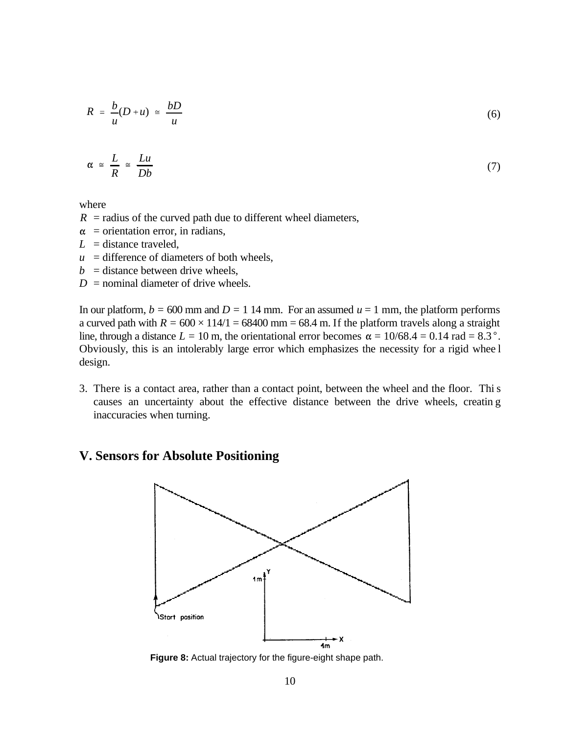$$
R = \frac{b}{u}(D+u) \approx \frac{bD}{u}
$$
 (6)

$$
\alpha \cong \frac{L}{R} \cong \frac{Lu}{Db} \tag{7}
$$

where

- $R$  = radius of the curved path due to different wheel diameters,
- $\alpha$  = orientation error, in radians,
- $L =$  distance traveled,
- $u =$  difference of diameters of both wheels,
- $b =$  distance between drive wheels,
- $D =$  nominal diameter of drive wheels.

In our platform,  $b = 600$  mm and  $D = 1$  14 mm. For an assumed  $u = 1$  mm, the platform performs a curved path with  $R = 600 \times 114/1 = 68400$  mm = 68.4 m. If the platform travels along a straight line, through a distance  $L = 10$  m, the orientational error becomes  $\alpha = 10/68.4 = 0.14$  rad = 8.3°. Obviously, this is an intolerably large error which emphasizes the necessity for a rigid whee l design.

3. There is a contact area, rather than a contact point, between the wheel and the floor. This causes an uncertainty about the effective distance between the drive wheels, creatin g inaccuracies when turning.

# **V. Sensors for Absolute Positioning**



**Figure 8:** Actual trajectory for the figure-eight shape path.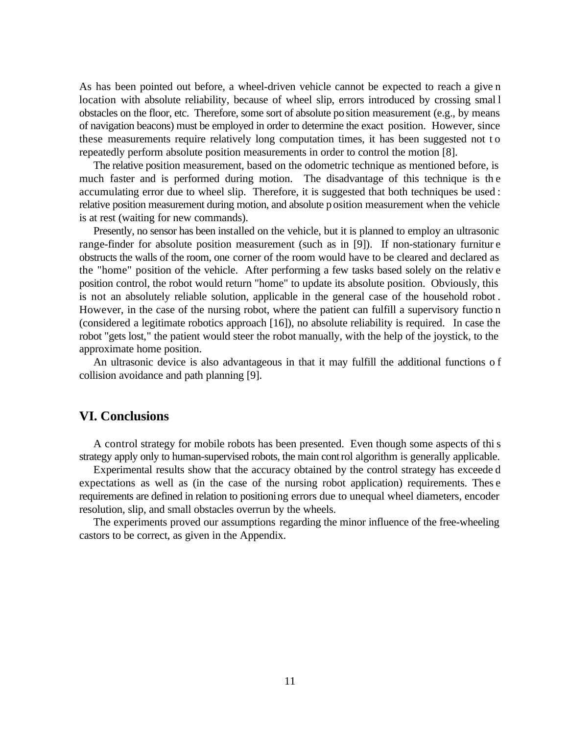As has been pointed out before, a wheel-driven vehicle cannot be expected to reach a give n location with absolute reliability, because of wheel slip, errors introduced by crossing smal l obstacles on the floor, etc. Therefore, some sort of absolute position measurement (e.g., by means of navigation beacons) must be employed in order to determine the exact position. However, since these measurements require relatively long computation times, it has been suggested not t o repeatedly perform absolute position measurements in order to control the motion [8].

The relative position measurement, based on the odometric technique as mentioned before, is much faster and is performed during motion. The disadvantage of this technique is th e accumulating error due to wheel slip. Therefore, it is suggested that both techniques be used : relative position measurement during motion, and absolute position measurement when the vehicle is at rest (waiting for new commands).

Presently, no sensor has been installed on the vehicle, but it is planned to employ an ultrasonic range-finder for absolute position measurement (such as in [9]). If non-stationary furnitur e obstructs the walls of the room, one corner of the room would have to be cleared and declared as the "home" position of the vehicle. After performing a few tasks based solely on the relativ e position control, the robot would return "home" to update its absolute position. Obviously, this is not an absolutely reliable solution, applicable in the general case of the household robot . However, in the case of the nursing robot, where the patient can fulfill a supervisory functio n (considered a legitimate robotics approach [16]), no absolute reliability is required. In case the robot "gets lost," the patient would steer the robot manually, with the help of the joystick, to the approximate home position.

An ultrasonic device is also advantageous in that it may fulfill the additional functions o f collision avoidance and path planning [9].

#### **VI. Conclusions**

A control strategy for mobile robots has been presented. Even though some aspects of this strategy apply only to human-supervised robots, the main control algorithm is generally applicable.

Experimental results show that the accuracy obtained by the control strategy has exceede d expectations as well as (in the case of the nursing robot application) requirements. Thes e requirements are defined in relation to positioning errors due to unequal wheel diameters, encoder resolution, slip, and small obstacles overrun by the wheels.

The experiments proved our assumptions regarding the minor influence of the free-wheeling castors to be correct, as given in the Appendix.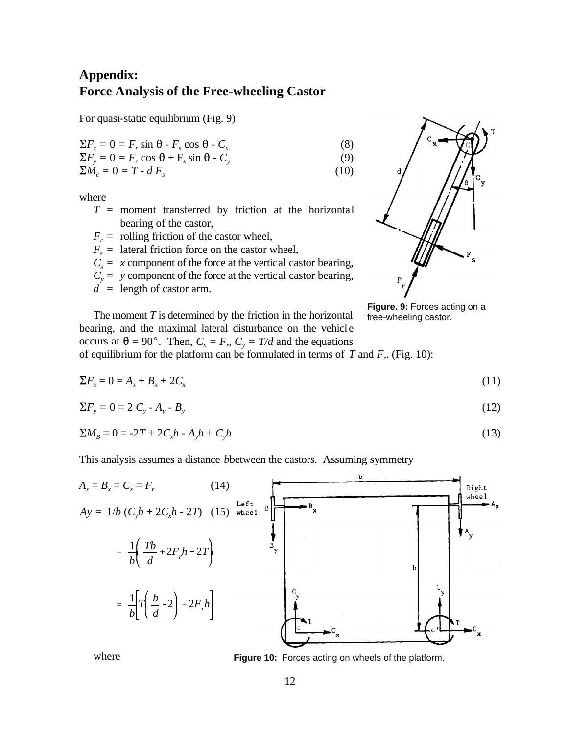# **Appendix: Force Analysis of the Free-wheeling Castor**

For quasi-static equilibrium (Fig. 9)

$$
\Sigma F_x = 0 = F_r \sin \theta - F_s \cos \theta - C_x \tag{8}
$$

$$
\Sigma F_y = 0 = F_r \cos \theta + F_s \sin \theta - C_y
$$
  
\n
$$
\Sigma M_c = 0 = T - d F_s
$$
 (9)

where

- $T =$  moment transferred by friction at the horizontal bearing of the castor,
- $F_r$  = rolling friction of the castor wheel,
- $F_s$  = lateral friction force on the castor wheel,
- $C_x = x$  component of the force at the vertical castor bearing,
- $C_y$  = *y* component of the force at the vertical castor bearing,
- $d =$  length of castor arm.



**Figure. 9:** Forces acting on a free-wheeling castor.

The moment *T* is determined by the friction in the horizontal bearing, and the maximal lateral disturbance on the vehicle occurs at  $\theta = 90^\circ$ . Then,  $C_x = F_r$ ,  $C_y = T/d$  and the equations of equilibrium for the platform can be formulated in terms of  $T$  and  $F_r$ . (Fig. 10):

$$
\Sigma F_x = 0 = A_x + B_x + 2C_x \tag{11}
$$

$$
\Sigma F_y = 0 = 2 C_y - A_y - B_y \tag{12}
$$

$$
\Sigma M_B = 0 = -2T + 2C_x h - A_y b + C_y b \tag{13}
$$

This analysis assumes a distance *b*between the castors. Assuming symmetry



where

**Figure 10:** Forces acting on wheels of the platform.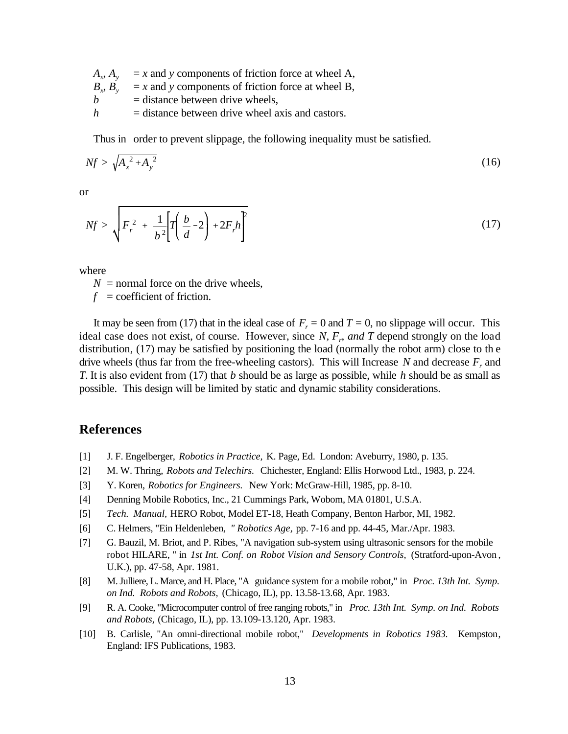- $A_x$ ,  $A_y$  = *x* and *y* components of friction force at wheel A,
- $B_y$ ,  $B_y$  = *x* and *y* components of friction force at wheel B,
- $b =$  distance between drive wheels,
- $h$  = distance between drive wheel axis and castors.

Thus in order to prevent slippage, the following inequality must be satisfied.

$$
Nf > \sqrt{A_x^2 + A_y^2} \tag{16}
$$

or

$$
Nf > \sqrt{F_r^2 + \frac{1}{b^2} \left[ T \left( \frac{b}{d} - 2 \right) + 2F_r h \right]^2}
$$
 (17)

where

 $N =$  normal force on the drive wheels,

 $f =$  coefficient of friction.

It may be seen from (17) that in the ideal case of  $F_r = 0$  and  $T = 0$ , no slippage will occur. This ideal case does not exist, of course. However, since *N, F<sup>r</sup>* , *and T* depend strongly on the load distribution, (17) may be satisfied by positioning the load (normally the robot arm) close to th e drive wheels (thus far from the free-wheeling castors). This will Increase  $N$  and decrease  $F_r$  and *T*. It is also evident from (17) that *b* should be as large as possible, while *h* should be as small as possible. This design will be limited by static and dynamic stability considerations.

## **References**

- [1] J. F. Engelberger, *Robotics in Practice,* K. Page, Ed. London: Aveburry, 1980, p. 135.
- [2] M. W. Thring, *Robots and Telechirs.* Chichester, England: Ellis Horwood Ltd., 1983, p. 224.
- [3] Y. Koren, *Robotics for Engineers.* New York: McGraw-Hill, 1985, pp. 8-10.
- [4] Denning Mobile Robotics, Inc., 21 Cummings Park, Wobom, MA 01801, U.S.A.
- [5] *Tech. Manual,* HERO Robot, Model ET-18, Heath Company, Benton Harbor, MI, 1982.
- [6] C. Helmers, "Ein Heldenleben, *" Robotics Age,* pp. 7-16 and pp. 44-45, Mar./Apr. 1983.
- [7] G. Bauzil, M. Briot, and P. Ribes, "A navigation sub-system using ultrasonic sensors for the mobile robot HILARE, " in *1st Int. Conf. on Robot Vision and Sensory Controls,* (Stratford-upon-Avon , U.K.), pp. 47-58, Apr. 1981.
- [8] M. Julliere, L. Marce, and H. Place, "A guidance system for a mobile robot," in *Proc. 13th Int. Symp. on Ind. Robots and Robots,* (Chicago, IL), pp. 13.58-13.68, Apr. 1983.
- [9] R. A. Cooke, "Microcomputer control of free ranging robots," in *Proc. 13th Int. Symp. on Ind. Robots and Robots,* (Chicago, IL), pp. 13.109-13.120, Apr. 1983.
- [10] B. Carlisle, "An omni-directional mobile robot," *Developments in Robotics 1983.* Kempston, England: IFS Publications, 1983.